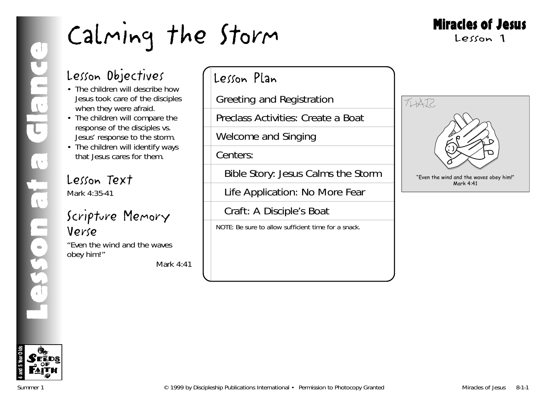## Miracles of Jesus

Lesson 1

## Lesson Objectives

- The children will describe how Jesus took care of the disciples when they were afraid.
- The children will compare the response of the disciples vs. Jesus' response to the storm.
- The children will identify ways that Jesus cares for them.

## Lesson Text

Mark 4:35-41

## Scripture Memory Verse

"Even the wind and the waves obey him!"

*Mark 4:41*

## Lesson Plan

Greeting and Registration

Preclass Activities: Create a Boat

Welcome and Singing

Centers:

Bible Story: Jesus Calms the Storm

Life Application: No More Fear

Craft: A Disciple's Boat

NOTE: Be sure to allow sufficient time for a snack.



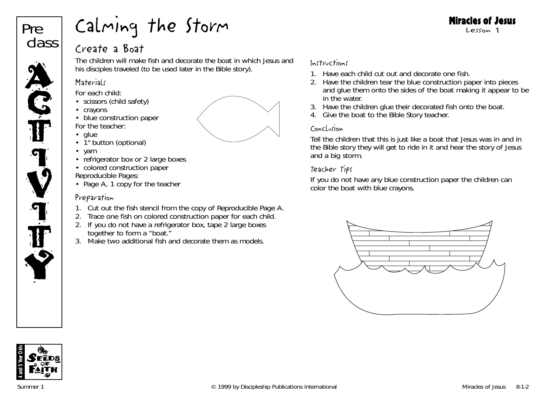# Pre class **ACT**

<u>ia</u>

V

**T** 

T

Y

## Calming the Storm

## Create a Boat

The children will make fish and decorate the boat in which Jesus and his disciples traveled (to be used later in the Bible story).

## **Materials**

*For each child:*

- scissors (child safety)
- crayons
- blue construction paper *For the teacher:*
- glue
- 1" button (optional)
- yarn
- refrigerator box or 2 large boxes
- colored construction paper *Reproducible Pages:*
- Page A, 1 copy for the teacher

## Preparation

- 1. Cut out the fish stencil from the copy of Reproducible Page A.
- 2. Trace one fish on colored construction paper for each child.
- 2. If you do not have a refrigerator box, tape 2 large boxes together to form a "boat."
- 3. Make two additional fish and decorate them as models.



- 1. Have each child cut out and decorate one fish.
- 2. Have the children tear the blue construction paper into pieces and glue them onto the sides of the boat making it appear to be in the water.
- 3. Have the children glue their decorated fish onto the boat.
- 4. Give the boat to the Bible Story teacher.

## Conclusion

Tell the children that this is just like a boat that Jesus was in and in the Bible story they will get to ride in it and hear the story of Jesus and a big storm.

## Teacher Tips

If you do not have any blue construction paper the children can color the boat with blue crayons.





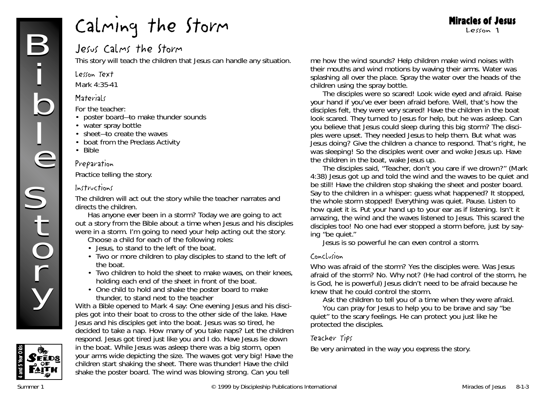## Jesus Calms the Storm

This story will teach the children that Jesus can handle any situation.

### Lesson Text

Mark 4:35-41

## **Materials**

### *For the teacher:*

- poster board—to make thunder sounds
- water spray bottle
- sheet—to create the waves
- boat from the Preclass Activity
- Bible

### Preparation

Practice telling the story.

### Instructions

The children will act out the story while the teacher narrates and directs the children.

*Has anyone ever been in a storm? Today we are going to act out a story from the Bible about a time when Jesus and his disciples were in a storm. I'm going to need your help acting out the story.*

Choose a child for each of the following roles:

- Jesus, to stand to the left of the boat.
- Two or more children to play disciples to stand to the left of the boat.
- Two children to hold the sheet to make waves, on their knees, holding each end of the sheet in front of the boat.
- One child to hold and shake the poster board to make thunder, to stand next to the teacher

With a Bible opened to Mark 4 say: *One evening Jesus and his disciples got into their boat to cross to the other side of the lake.* Have Jesus and his disciples get into the boat. *Jesus was so tired, he decided to take a nap. How many of you take naps?* Let the children respond. *Jesus got tired just like you and I do. Have* Jesus lie down in the boat. *While Jesus was asleep there was a big storm,* open your arms wide depicting the size*. The waves got very big!* Have the children start shaking the sheet. *There was thunder!* Have the child shake the poster board. *The wind was blowing strong. Can you tell*

*me how the wind sounds?* Help children make wind noises with their mouths and wind motions by waving their arms. *Water was splashing all over the place.* Spray the water over the heads of the children using the spray bottle.

Miracles of Jesus Lesson 1

*The disciples were so scared!* Look wide eyed and afraid. *Raise your hand if you've ever been afraid before. Well, that's how the disciples felt, they were very scared!* Have the children in the boat look scared. *They turned to Jesus for help, but he was asleep. Can you believe that Jesus could sleep during this big storm? The disciples were upset. They needed Jesus to help them. But what was Jesus doing?* Give the children a chance to respond. *That's right, he* was sleeping! So the disciples went over and woke Jesus up. Have the children in the boat, wake Jesus up.

*The disciples said, "Teacher, don't you care if we drown?" (Mark 4:38) Jesus got up and told the wind and the waves to be quiet and be still!* Have the children stop shaking the sheet and poster board. Say to the children in a whisper: g*uess what happened? It stopped, the whole storm stopped! Everything was quiet*. Pause. *Listen to how quiet it is.* Put your hand up to your ear as if listening. *Isn't it amazing, the wind and the waves listened to Jesus. This scared the disciples too! No one had ever stopped a storm before, just by saying "be quiet."*

*Jesus is so powerful he can even control a storm.*

### Conclusion

*Who was afraid of the storm? Yes the disciples were. Was Jesus afraid of the storm? No. Why not?* (He had control of the storm, he is God, he is powerful) *Jesus didn't need to be afraid because he knew that he could control the storm.*

Ask the children to tell you of a time when they were afraid. *You can pray for Jesus to help you to be brave and say "be*

*quiet" to the scary feelings. He can protect you just like he protected the disciples.*

## Teacher Tips

Be very animated in the way you express the story.

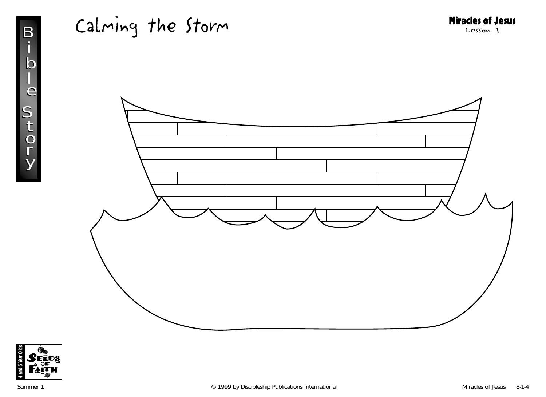



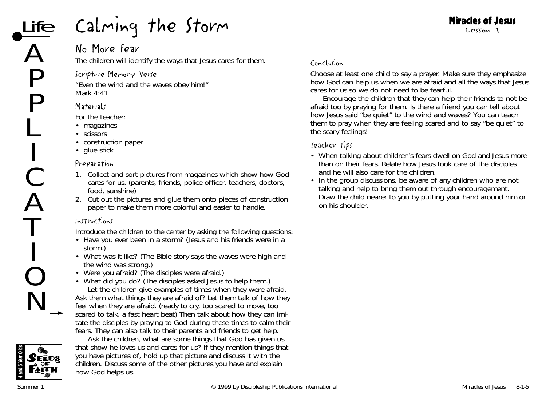## No More Fear

The children will identify the ways that Jesus cares for them.

## Scripture Memory Verse

"Even the wind and the waves obey him!" *Mark 4:41*

## **Materials**

*For the teacher:*

- magazines
- scissors
- construction paper
- glue stick

## Preparation

- 1. Collect and sort pictures from magazines which show how God cares for us. (parents, friends, police officer, teachers, doctors, food, sunshine)
- 2. Cut out the pictures and glue them onto pieces of construction paper to make them more colorful and easier to handle.

## Instructions

Introduce the children to the center by asking the following questions:

- Have you ever been in a storm? (Jesus and his friends were in a storm.)
- What was it like? (The Bible story says the waves were high and the wind was strong.)
- Were you afraid? (The disciples were afraid.)
- What did you do? (The disciples asked Jesus to help them.) Let the children give examples of times when they were afraid. Ask them what things they are afraid of? Let them talk of how they feel when they are afraid. (ready to cry, too scared to move, too scared to talk, a fast heart beat) Then talk about how they can imitate the disciples by praying to God during these times to calm their fears. They can also talk to their parents and friends to get help.



Ask the children, *what are some things that God has given us that show he loves us and cares for us?* If they mention things that you have pictures of, hold up that picture and discuss it with the children. Discuss some of the other pictures you have and explain how God helps us.

## Conclusion

Choose at least one child to say a prayer. Make sure they emphasize how God can help us when we are afraid and all the ways that Jesus cares for us so we do not need to be fearful.

Encourage the children that they can help their friends to not be afraid too by praying for them. *Is there a friend you can tell about how Jesus said "be quiet" to the wind and waves? You can teach them to pray when they are feeling scared and to say "be quiet" to the scary feelings!*

- When talking about children's fears dwell on God and Jesus more than on their fears. Relate how Jesus took care of the disciples and he will also care for the children.
- In the group discussions, be aware of any children who are not talking and help to bring them out through encouragement. Draw the child nearer to you by putting your hand around him or on his shoulder.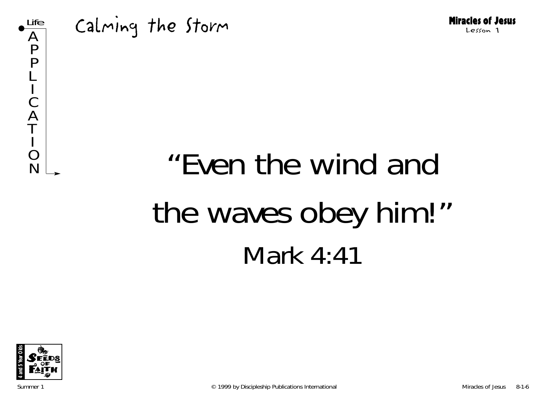

# $N<sup>o</sup>$  "Even the wind and the waves obey him!" Mark 4:41

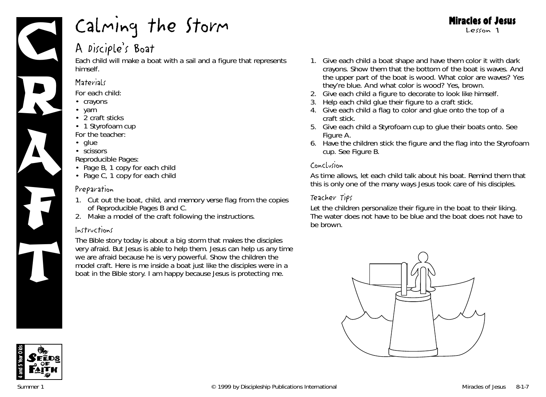

## A Disciple's Boat

Each child will make a boat with a sail and a figure that represents himself.

## **Materials**

*For each child:*

- crayons
- yarn
- 2 craft sticks
- 1 Styrofoam cup
- *For the teacher:*
- glue
- scissors

*Reproducible Pages:*

- Page B, 1 copy for each child
- Page C, 1 copy for each child

## Preparation

- 1. Cut out the boat, child, and memory verse flag from the copies of Reproducible Pages B and C.
- 2. Make a model of the craft following the instructions.

## Instructions

*The Bible story today is about a big storm that makes the disciples very afraid. But Jesus is able to help them. Jesus can help us any time we are afraid because he is very powerful.* Show the children the model craft. *Here is me inside a boat just like the disciples were in a boat in the Bible story. I am happy because Jesus is protecting me.*

- 1. Give each child a boat shape and have them color it with dark crayons. Show them that the bottom of the boat is waves. And the upper part of the boat is wood. *What color are waves? Yes they're blue. And what color is wood? Yes, brown.*
- 2. Give each child a figure to decorate to look like himself.
- 3. Help each child glue their figure to a craft stick.
- 4. Give each child a flag to color and glue onto the top of a craft stick.
- 5. Give each child a Styrofoam cup to glue their boats onto. See Figure A.
- 6. Have the children stick the figure and the flag into the Styrofoam cup. See Figure B.

## Conclusion

As time allows, let each child talk about his boat. Remind them that this is only one of the many ways Jesus took care of his disciples.

## Teacher Tips

Let the children personalize their figure in the boat to their liking. The water does not have to be blue and the boat does not have to be brown.





### Miracles of Jesus Lesson 1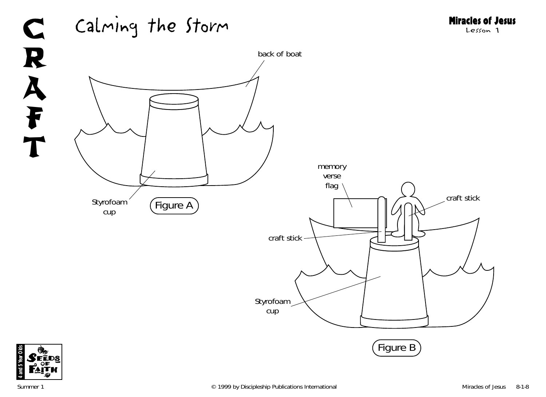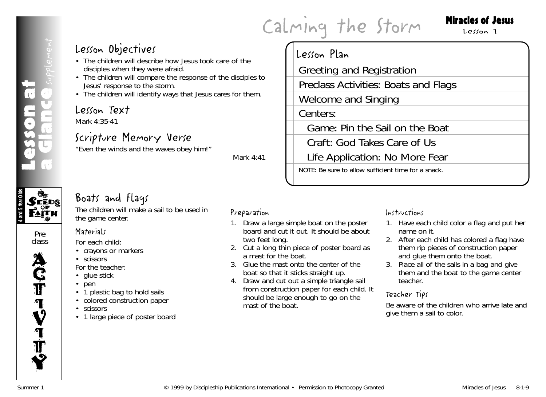Greeting and Registration

Welcome and Singing

Preclass Activities: Boats and Flags

Game: Pin the Sail on the Boat

Life Application: No More Fear NOTE: Be sure to allow sufficient time for a snack.

Craft: God Takes Care of Us

Lesson Plan

Centers:

## Miracles of Jesus

### Lesson 1

## Lesson Objectives

- The children will describe how Jesus took care of the disciples when they were afraid.
- Calming the Storm<br>
a Lesson Objectives<br>
a discription will describe how Jesus took care of the<br>
a Greeting and Registration<br>
For the children will describe the storm.<br>
The children will dentify ways that Jesus cares for th • The children will compare the response of the disciples to Jesus' response to the storm.
	- The children will identify ways that Jesus cares for them.

## Lesson Text

Mark 4:35-41

## Scripture Memory Verse

"Even the winds and the waves obey him!"

*Mark 4:41*

## Boats and Flags

The children will make a sail to be used in the game center.



Lesson at

class

**CEEDS** 



## **Materials**

*For each child:*

- crayons or markers
- scissors
- *For the teacher:*
- glue stick
- pen
- 1 plastic bag to hold sails
- colored construction paper
- scissors
- 1 large piece of poster board

## Preparation

- 1. Draw a large simple boat on the poster board and cut it out. It should be about two feet long.
- 2. Cut a long thin piece of poster board as a mast for the boat.
- 3. Glue the mast onto the center of the boat so that it sticks straight up.
- 4. Draw and cut out a simple triangle sail from construction paper for each child. It should be large enough to go on the mast of the boat.

## Instructions

- 1. Have each child color a flag and put her name on it.
- 2. After each child has colored a flag have them rip pieces of construction paper and glue them onto the boat.
- 3. Place all of the sails in a bag and give them and the boat to the game center teacher.

## Teacher Tips

Be aware of the children who arrive late and give them a sail to color.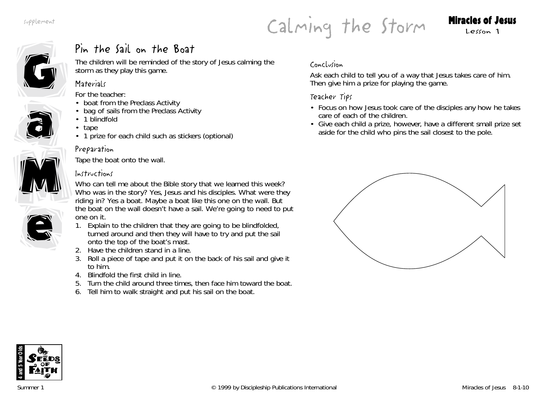Calming the Storm Miracles of Jesus



## Pin the Sail on the Boat

The children will be reminded of the story of Jesus calming the storm as they play this game.

## **Materials**

*For the teacher:*

- boat from the Preclass Activity
- bag of sails from the Preclass Activity
- 1 blindfold
- tape
- 1 prize for each child such as stickers (optional)

## Preparation



e

a

Tape the boat onto the wall.

## Instructions

*Who can tell me about the Bible story that we learned this week? Who was in the story? Yes, Jesus and his disciples. What were they riding in? Yes a boat. Maybe a boat like this one on the wall. But the boat on the wall doesn't have a sail. We're going to need to put one on it.*

- 1. Explain to the children that they are going to be blindfolded, turned around and then they will have to try and put the sail onto the top of the boat's mast.
- 2. Have the children stand in a line.
- 3. Roll a piece of tape and put it on the back of his sail and give it to him.
- 4. Blindfold the first child in line.
- 5. Turn the child around three times, then face him toward the boat.
- 6. Tell him to walk straight and put his sail on the boat.

## Conclusion

Ask each child to tell you of a way that Jesus takes care of him. Then give him a prize for playing the game.

- Focus on how Jesus took care of the disciples any how he takes care of each of the children.
- Give each child a prize, however, have a different small prize set aside for the child who pins the sail closest to the pole.



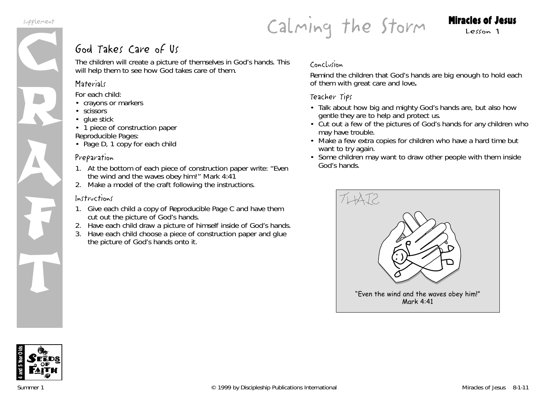

## Calming the Storm Miracles of Jesus

## God Takes Care of Us

The children will create a picture of themselves in God's hands. This will help them to see how God takes care of them.

## **Materials**

*For each child:*

- crayons or markers
- scissors
- glue stick
- 1 piece of construction paper *Reproducible Pages:*
- Page D, 1 copy for each chilc

## Preparation

- 1. At the bottom of each piece of construction paper write: "Even the wind and the waves obey him!" Mark 4:41
- 2. Make a model of the craft following the instructions.

## Instructions

- 1. Give each child a copy of Reproducible Page C and have them cut out the picture of God's hands.
- 2. Have each child draw a picture of himself inside of God's hands.
- 3. Have each child choose a piece of construction paper and glue the picture of God's hands onto it.

## Conclusion

Remind the children that God's hands are big enough to hold each of them with great care and love**.**

- Talk about how big and mighty God's hands are, but also how gentle they are to help and protect us.
- Cut out a few of the pictures of God's hands for any children who may have trouble.
- Make a few extra copies for children who have a hard time but want to try again.
- Some children may want to draw other people with them inside God's hands.



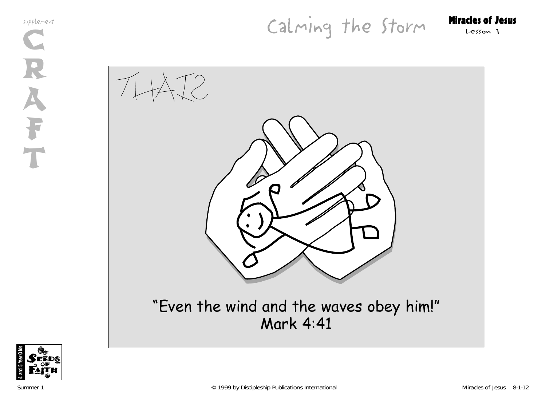Calming the Storm Miracles of Jesus

THAT2



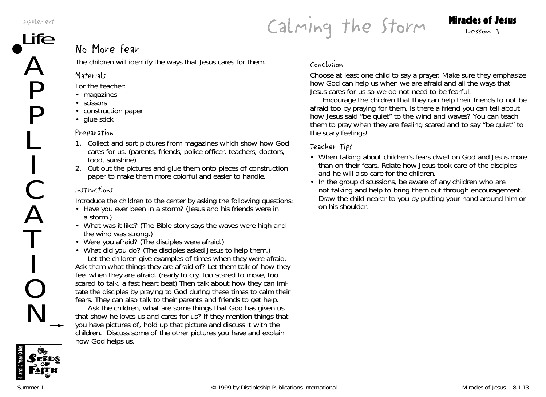A

P

P

L

C

A

T

O

N



## $\overline{\text{ife}}$  No More fear

The children will identify the ways that Jesus cares for them.

## **Materials**

*For the teacher:*

- magazines
- scissors
- construction paper
- glue stick

## Preparation

- 1. Collect and sort pictures from magazines which show how God cares for us. (parents, friends, police officer, teachers, doctors, food, sunshine)
- 2. Cut out the pictures and glue them onto pieces of construction paper to make them more colorful and easier to handle.

## Instructions

Introduce the children to the center by asking the following questions:

- Have you ever been in a storm? (Jesus and his friends were in a storm.)
- What was it like? (The Bible story says the waves were high and the wind was strong.)
- Were you afraid? (The disciples were afraid.)

• What did you do? (The disciples asked Jesus to help them.) Let the children give examples of times when they were afraid. Ask them what things they are afraid of? Let them talk of how they feel when they are afraid. (ready to cry, too scared to move, too scared to talk, a fast heart beat) Then talk about how they can imitate the disciples by praying to God during these times to calm their fears. They can also talk to their parents and friends to get help.

Ask the children, *what are some things that God has given us that show he loves us and cares for us?* If they mention things that you have pictures of, hold up that picture and discuss it with the children. Discuss some of the other pictures you have and explain how God helps us.

## Conclusion

Choose at least one child to say a prayer. Make sure they emphasize how God can help us when we are afraid and all the ways that Jesus cares for us so we do not need to be fearful.

Encourage the children that they can help their friends to not be afraid too by praying for them. *Is there a friend you can tell about how Jesus said "be quiet" to the wind and waves? You can teach them to pray when they are feeling scared and to say "be quiet" to the scary feelings!*

- When talking about children's fears dwell on God and Jesus more than on their fears. Relate how Jesus took care of the disciples and he will also care for the children.
- In the group discussions, be aware of any children who are not talking and help to bring them out through encouragement. Draw the child nearer to you by putting your hand around him or on his shoulder.

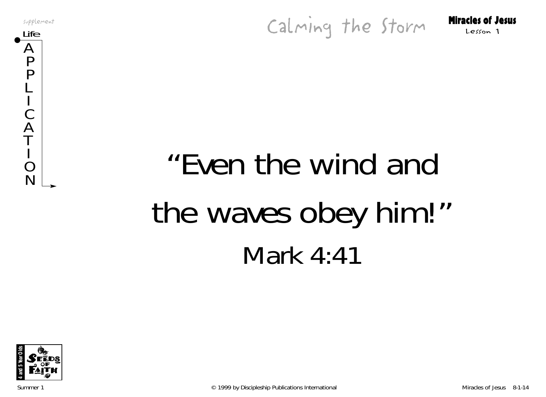supplement<br>Life Storm Miracles of Jesus



# "Even the wind and the waves obey him!" Mark 4:41

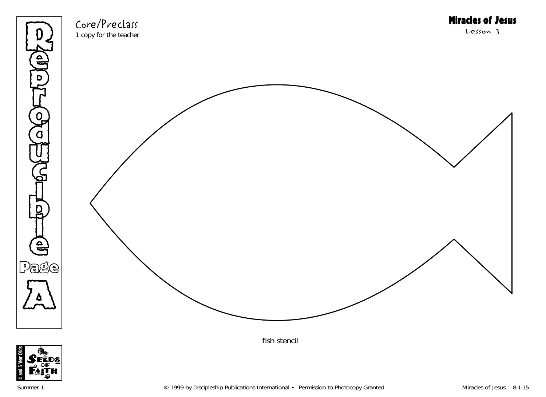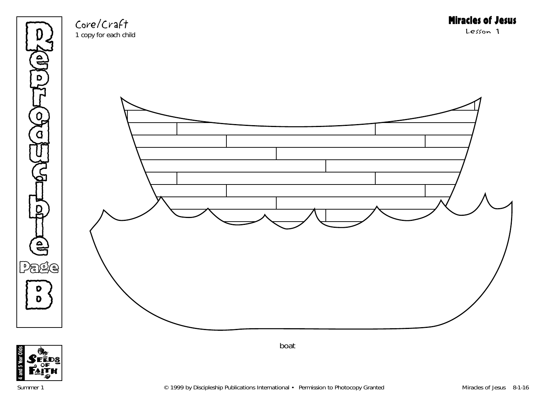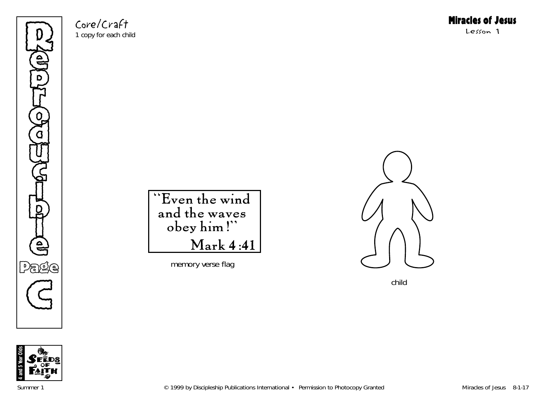Refer p **THE** o ិ<br>ថ U  $\mathbb{G}% _{n}^{X}$ **o** to K l e Page  $\mathbb{G}$ 

Core/Craft 1 copy for each child

Miracles of Jesus

Lesson 1

"Even the wind and the waves obey him!" Mark 4:41

memory verse flag